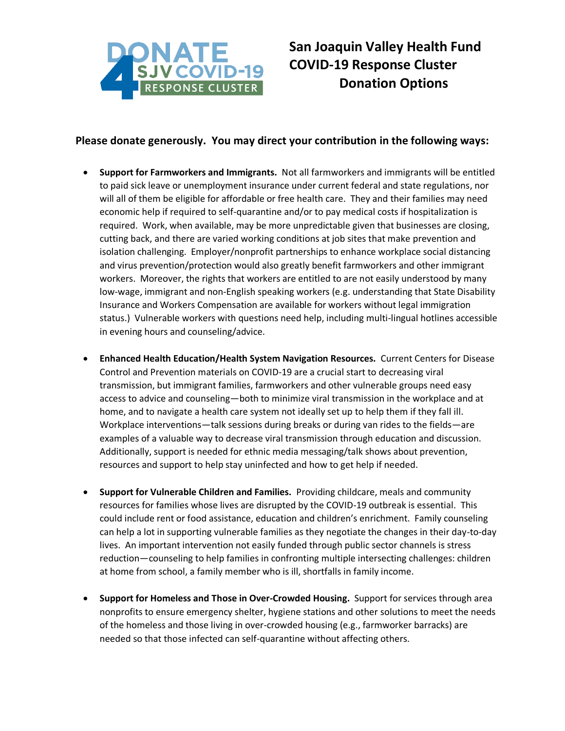

## **San Joaquin Valley Health Fund COVID-19 Response Cluster Donation Options**

## **Please donate generously. You may direct your contribution in the following ways:**

- **Support for Farmworkers and Immigrants.** Not all farmworkers and immigrants will be entitled to paid sick leave or unemployment insurance under current federal and state regulations, nor will all of them be eligible for affordable or free health care. They and their families may need economic help if required to self-quarantine and/or to pay medical costs if hospitalization is required. Work, when available, may be more unpredictable given that businesses are closing, cutting back, and there are varied working conditions at job sites that make prevention and isolation challenging. Employer/nonprofit partnerships to enhance workplace social distancing and virus prevention/protection would also greatly benefit farmworkers and other immigrant workers. Moreover, the rights that workers are entitled to are not easily understood by many low-wage, immigrant and non-English speaking workers (e.g. understanding that State Disability Insurance and Workers Compensation are available for workers without legal immigration status.) Vulnerable workers with questions need help, including multi-lingual hotlines accessible in evening hours and counseling/advice.
- **Enhanced Health Education/Health System Navigation Resources.** Current Centers for Disease Control and Prevention materials on COVID-19 are a crucial start to decreasing viral transmission, but immigrant families, farmworkers and other vulnerable groups need easy access to advice and counseling—both to minimize viral transmission in the workplace and at home, and to navigate a health care system not ideally set up to help them if they fall ill. Workplace interventions—talk sessions during breaks or during van rides to the fields—are examples of a valuable way to decrease viral transmission through education and discussion. Additionally, support is needed for ethnic media messaging/talk shows about prevention, resources and support to help stay uninfected and how to get help if needed.
- **Support for Vulnerable Children and Families.** Providing childcare, meals and community resources for families whose lives are disrupted by the COVID-19 outbreak is essential. This could include rent or food assistance, education and children's enrichment. Family counseling can help a lot in supporting vulnerable families as they negotiate the changes in their day-to-day lives. An important intervention not easily funded through public sector channels is stress reduction—counseling to help families in confronting multiple intersecting challenges: children at home from school, a family member who is ill, shortfalls in family income.
- **Support for Homeless and Those in Over-Crowded Housing.** Support for services through area nonprofits to ensure emergency shelter, hygiene stations and other solutions to meet the needs of the homeless and those living in over-crowded housing (e.g., farmworker barracks) are needed so that those infected can self-quarantine without affecting others.